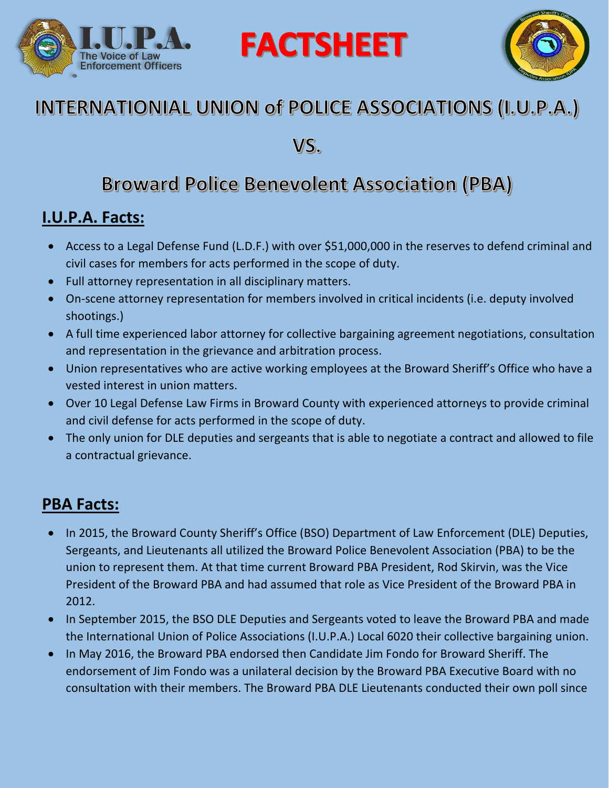



## INTERNATIONIAL UNION of POLICE ASSOCIATIONS (I.U.P.A.)

**FACTSHEET** 

VS.

## **Broward Police Benevolent Association (PBA)**

#### **I.U.P.A. Facts:**

- Access to a Legal Defense Fund (L.D.F.) with over \$51,000,000 in the reserves to defend criminal and civil cases for members for acts performed in the scope of duty.
- Full attorney representation in all disciplinary matters.
- On-scene attorney representation for members involved in critical incidents (i.e. deputy involved shootings.)
- A full time experienced labor attorney for collective bargaining agreement negotiations, consultation and representation in the grievance and arbitration process.
- Union representatives who are active working employees at the Broward Sheriff's Office who have a vested interest in union matters.
- Over 10 Legal Defense Law Firms in Broward County with experienced attorneys to provide criminal and civil defense for acts performed in the scope of duty.
- The only union for DLE deputies and sergeants that is able to negotiate a contract and allowed to file a contractual grievance.

#### **PBA Facts:**

- In 2015, the Broward County Sheriff's Office (BSO) Department of Law Enforcement (DLE) Deputies, Sergeants, and Lieutenants all utilized the Broward Police Benevolent Association (PBA) to be the union to represent them. At that time current Broward PBA President, Rod Skirvin, was the Vice President of the Broward PBA and had assumed that role as Vice President of the Broward PBA in 2012.
- In September 2015, the BSO DLE Deputies and Sergeants voted to leave the Broward PBA and made the International Union of Police Associations (I.U.P.A.) Local 6020 their collective bargaining union.
- In May 2016, the Broward PBA endorsed then Candidate Jim Fondo for Broward Sheriff. The endorsement of Jim Fondo was a unilateral decision by the Broward PBA Executive Board with no consultation with their members. The Broward PBA DLE Lieutenants conducted their own poll since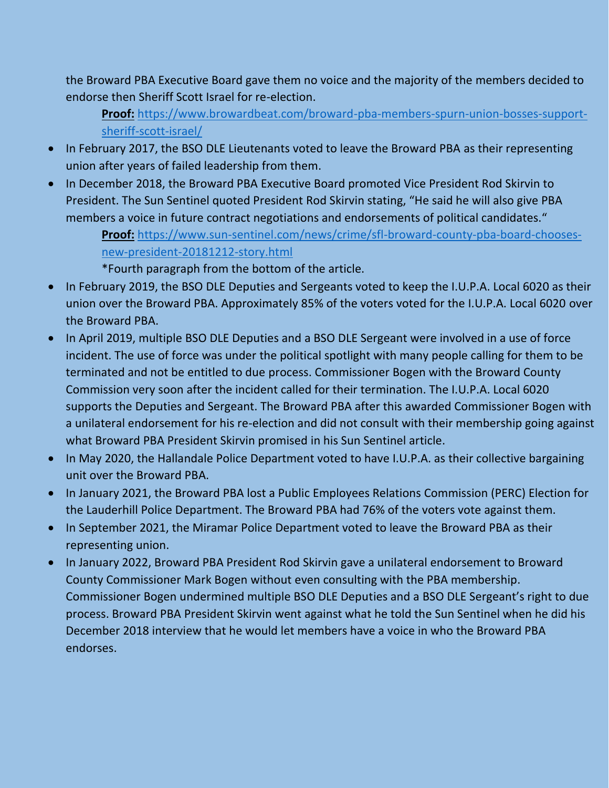the Broward PBA Executive Board gave them no voice and the majority of the members decided to endorse then Sheriff Scott Israel for re-election.

**Proof:** [https://www.browardbeat.com/broward-pba-members-spurn-union-bosses-support](https://www.browardbeat.com/broward-pba-members-spurn-union-bosses-support-sheriff-scott-israel/)[sheriff-scott-israel/](https://www.browardbeat.com/broward-pba-members-spurn-union-bosses-support-sheriff-scott-israel/)

- In February 2017, the BSO DLE Lieutenants voted to leave the Broward PBA as their representing union after years of failed leadership from them.
- In December 2018, the Broward PBA Executive Board promoted Vice President Rod Skirvin to President. The Sun Sentinel quoted President Rod Skirvin stating, "He said he will also give PBA members a voice in future contract negotiations and endorsements of political candidates."

**Proof:** [https://www.sun-sentinel.com/news/crime/sfl-broward-county-pba-board-chooses](https://www.sun-sentinel.com/news/crime/sfl-broward-county-pba-board-chooses-new-president-20181212-story.html)[new-president-20181212-story.html](https://www.sun-sentinel.com/news/crime/sfl-broward-county-pba-board-chooses-new-president-20181212-story.html)

\*Fourth paragraph from the bottom of the article.

- In February 2019, the BSO DLE Deputies and Sergeants voted to keep the I.U.P.A. Local 6020 as their union over the Broward PBA. Approximately 85% of the voters voted for the I.U.P.A. Local 6020 over the Broward PBA.
- In April 2019, multiple BSO DLE Deputies and a BSO DLE Sergeant were involved in a use of force incident. The use of force was under the political spotlight with many people calling for them to be terminated and not be entitled to due process. Commissioner Bogen with the Broward County Commission very soon after the incident called for their termination. The I.U.P.A. Local 6020 supports the Deputies and Sergeant. The Broward PBA after this awarded Commissioner Bogen with a unilateral endorsement for his re-election and did not consult with their membership going against what Broward PBA President Skirvin promised in his Sun Sentinel article.
- In May 2020, the Hallandale Police Department voted to have I.U.P.A. as their collective bargaining unit over the Broward PBA.
- In January 2021, the Broward PBA lost a Public Employees Relations Commission (PERC) Election for the Lauderhill Police Department. The Broward PBA had 76% of the voters vote against them.
- In September 2021, the Miramar Police Department voted to leave the Broward PBA as their representing union.
- In January 2022, Broward PBA President Rod Skirvin gave a unilateral endorsement to Broward County Commissioner Mark Bogen without even consulting with the PBA membership. Commissioner Bogen undermined multiple BSO DLE Deputies and a BSO DLE Sergeant's right to due process. Broward PBA President Skirvin went against what he told the Sun Sentinel when he did his December 2018 interview that he would let members have a voice in who the Broward PBA endorses.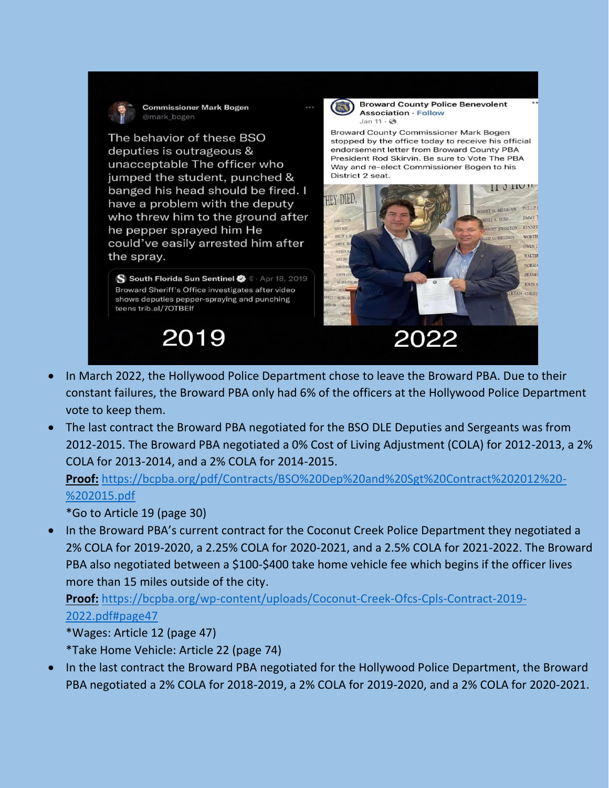

**Commissioner Mark Bogen** @mark\_bogen

The behavior of these BSO deputies is outrageous & unacceptable The officer who jumped the student, punched & banged his head should be fired. I have a problem with the deputy who threw him to the ground after he pepper sprayed him He could've easily arrested him after the spray.

S South Florida Sun Sentinel  $\bullet$  C · Apr 18, 2019 Broward Sheriff's Office investigates after video shows deputies pepper-spraying and punching teens trib.al/7OTBElf

# 2019



**Broward County Police Benevolent Association · Follow** Jan  $11 \cdot \textcircled{3}$ 

Broward County Commissioner Mark Bogen stopped by the office today to receive his official endorsement letter from Broward County PBA President Rod Skirvin. Be sure to Vote The PBA Way and re-elect Commissioner Bogen to his District 2 seat.



- In March 2022, the Hollywood Police Department chose to leave the Broward PBA. Due to their constant failures, the Broward PBA only had 6% of the officers at the Hollywood Police Department vote to keep them.
- The last contract the Broward PBA negotiated for the BSO DLE Deputies and Sergeants was from 2012-2015. The Broward PBA negotiated a 0% Cost of Living Adjustment (COLA) for 2012-2013, a 2% COLA for 2013-2014, and a 2% COLA for 2014-2015.

**Proof:** [https://bcpba.org/pdf/Contracts/BSO%20Dep%20and%20Sgt%20Contract%202012%20-](https://bcpba.org/pdf/Contracts/BSO%20Dep%20and%20Sgt%20Contract%202012%20-%202015.pdf) [%202015.pdf](https://bcpba.org/pdf/Contracts/BSO%20Dep%20and%20Sgt%20Contract%202012%20-%202015.pdf)

\*Go to Article 19 (page 30)

 In the Broward PBA's current contract for the Coconut Creek Police Department they negotiated a 2% COLA for 2019-2020, a 2.25% COLA for 2020-2021, and a 2.5% COLA for 2021-2022. The Broward PBA also negotiated between a \$100-\$400 take home vehicle fee which begins if the officer lives more than 15 miles outside of the city.

**Proof:** [https://bcpba.org/wp-content/uploads/Coconut-Creek-Ofcs-Cpls-Contract-2019-](https://bcpba.org/wp-content/uploads/Coconut-Creek-Ofcs-Cpls-Contract-2019-2022.pdf#page47) [2022.pdf#page47](https://bcpba.org/wp-content/uploads/Coconut-Creek-Ofcs-Cpls-Contract-2019-2022.pdf#page47)

\*Wages: Article 12 (page 47)

\*Take Home Vehicle: Article 22 (page 74)

 In the last contract the Broward PBA negotiated for the Hollywood Police Department, the Broward PBA negotiated a 2% COLA for 2018-2019, a 2% COLA for 2019-2020, and a 2% COLA for 2020-2021.